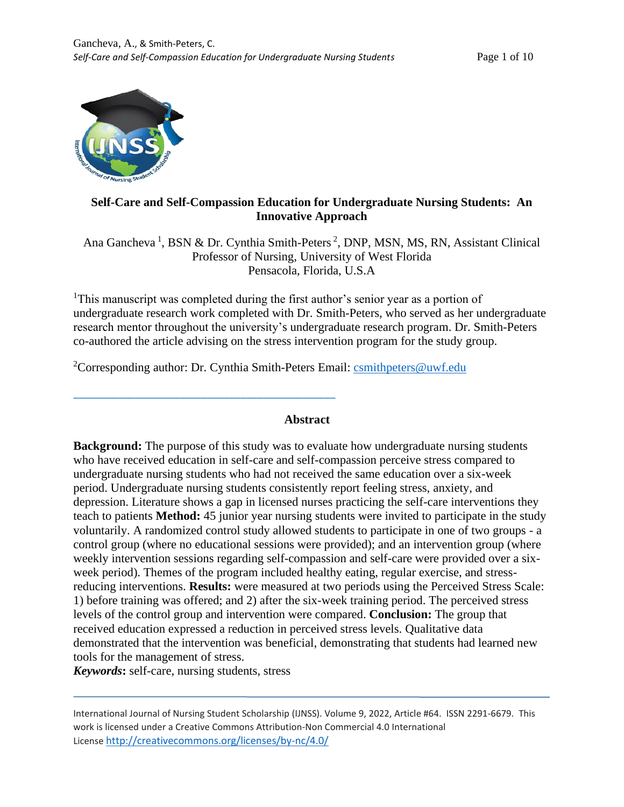

# **Self-Care and Self-Compassion Education for Undergraduate Nursing Students: An Innovative Approach**

Ana Gancheva<sup>1</sup>, BSN & Dr. Cynthia Smith-Peters<sup>2</sup>, DNP, MSN, MS, RN, Assistant Clinical Professor of Nursing, University of West Florida Pensacola, Florida, U.S.A

<sup>1</sup>This manuscript was completed during the first author's senior year as a portion of undergraduate research work completed with Dr. Smith-Peters, who served as her undergraduate research mentor throughout the university's undergraduate research program. Dr. Smith-Peters co-authored the article advising on the stress intervention program for the study group.

<sup>2</sup>Corresponding author: Dr. Cynthia Smith-Peters Email: [csmithpeters@uwf.edu](mailto:csmithpeters@uwf.edu)

\_\_\_\_\_\_\_\_\_\_\_\_\_\_\_\_\_\_\_\_\_\_\_\_\_\_\_\_\_\_\_\_\_\_\_\_\_\_\_\_\_\_\_\_\_\_\_

#### **Abstract**

**Background:** The purpose of this study was to evaluate how undergraduate nursing students who have received education in self-care and self-compassion perceive stress compared to undergraduate nursing students who had not received the same education over a six-week period. Undergraduate nursing students consistently report feeling stress, anxiety, and depression. Literature shows a gap in licensed nurses practicing the self-care interventions they teach to patients **Method:** 45 junior year nursing students were invited to participate in the study voluntarily. A randomized control study allowed students to participate in one of two groups - a control group (where no educational sessions were provided); and an intervention group (where weekly intervention sessions regarding self-compassion and self-care were provided over a sixweek period). Themes of the program included healthy eating, regular exercise, and stressreducing interventions. **Results:** were measured at two periods using the Perceived Stress Scale: 1) before training was offered; and 2) after the six-week training period. The perceived stress levels of the control group and intervention were compared. **Conclusion:** The group that received education expressed a reduction in perceived stress levels. Qualitative data demonstrated that the intervention was beneficial, demonstrating that students had learned new tools for the management of stress.

*Keywords***:** self-care, nursing students, stress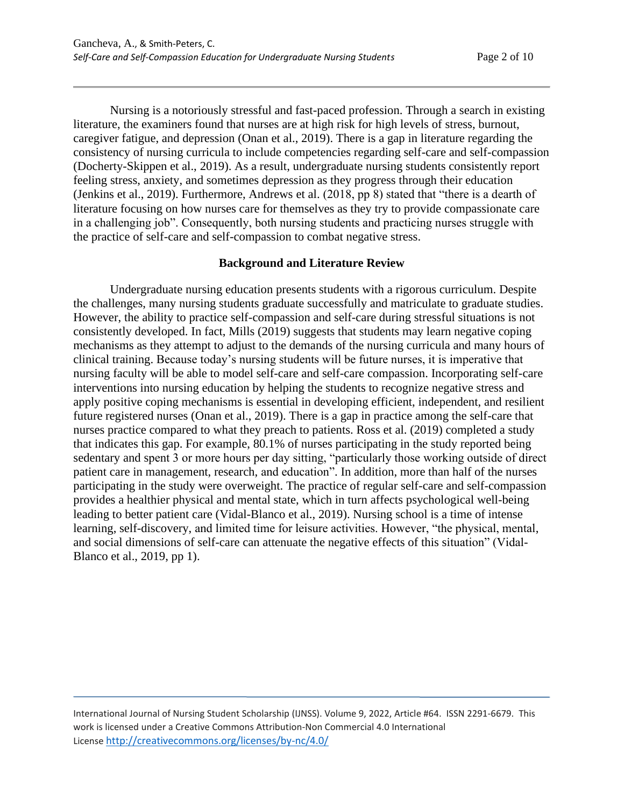Nursing is a notoriously stressful and fast-paced profession. Through a search in existing literature, the examiners found that nurses are at high risk for high levels of stress, burnout, caregiver fatigue, and depression (Onan et al., 2019). There is a gap in literature regarding the consistency of nursing curricula to include competencies regarding self-care and self-compassion (Docherty-Skippen et al., 2019). As a result, undergraduate nursing students consistently report feeling stress, anxiety, and sometimes depression as they progress through their education (Jenkins et al., 2019). Furthermore, Andrews et al. (2018, pp 8) stated that "there is a dearth of literature focusing on how nurses care for themselves as they try to provide compassionate care in a challenging job". Consequently, both nursing students and practicing nurses struggle with the practice of self-care and self-compassion to combat negative stress.

### **Background and Literature Review**

Undergraduate nursing education presents students with a rigorous curriculum. Despite the challenges, many nursing students graduate successfully and matriculate to graduate studies. However, the ability to practice self-compassion and self-care during stressful situations is not consistently developed. In fact, Mills (2019) suggests that students may learn negative coping mechanisms as they attempt to adjust to the demands of the nursing curricula and many hours of clinical training. Because today's nursing students will be future nurses, it is imperative that nursing faculty will be able to model self-care and self-care compassion. Incorporating self-care interventions into nursing education by helping the students to recognize negative stress and apply positive coping mechanisms is essential in developing efficient, independent, and resilient future registered nurses (Onan et al., 2019). There is a gap in practice among the self-care that nurses practice compared to what they preach to patients. Ross et al. (2019) completed a study that indicates this gap. For example, 80.1% of nurses participating in the study reported being sedentary and spent 3 or more hours per day sitting, "particularly those working outside of direct patient care in management, research, and education". In addition, more than half of the nurses participating in the study were overweight. The practice of regular self-care and self-compassion provides a healthier physical and mental state, which in turn affects psychological well-being leading to better patient care (Vidal-Blanco et al., 2019). Nursing school is a time of intense learning, self-discovery, and limited time for leisure activities. However, "the physical, mental, and social dimensions of self-care can attenuate the negative effects of this situation" (Vidal-Blanco et al., 2019, pp 1).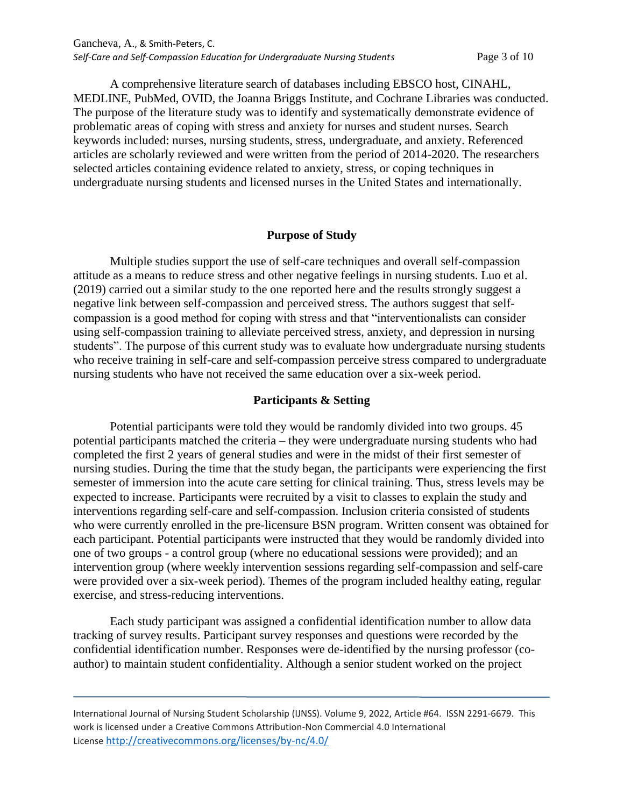A comprehensive literature search of databases including EBSCO host, CINAHL, MEDLINE, PubMed, OVID, the Joanna Briggs Institute, and Cochrane Libraries was conducted. The purpose of the literature study was to identify and systematically demonstrate evidence of problematic areas of coping with stress and anxiety for nurses and student nurses. Search keywords included: nurses, nursing students, stress, undergraduate, and anxiety. Referenced articles are scholarly reviewed and were written from the period of 2014-2020. The researchers selected articles containing evidence related to anxiety, stress, or coping techniques in undergraduate nursing students and licensed nurses in the United States and internationally.

### **Purpose of Study**

Multiple studies support the use of self-care techniques and overall self-compassion attitude as a means to reduce stress and other negative feelings in nursing students. Luo et al. (2019) carried out a similar study to the one reported here and the results strongly suggest a negative link between self-compassion and perceived stress. The authors suggest that selfcompassion is a good method for coping with stress and that "interventionalists can consider using self-compassion training to alleviate perceived stress, anxiety, and depression in nursing students". The purpose of this current study was to evaluate how undergraduate nursing students who receive training in self-care and self-compassion perceive stress compared to undergraduate nursing students who have not received the same education over a six-week period.

#### **Participants & Setting**

Potential participants were told they would be randomly divided into two groups. 45 potential participants matched the criteria – they were undergraduate nursing students who had completed the first 2 years of general studies and were in the midst of their first semester of nursing studies. During the time that the study began, the participants were experiencing the first semester of immersion into the acute care setting for clinical training. Thus, stress levels may be expected to increase. Participants were recruited by a visit to classes to explain the study and interventions regarding self-care and self-compassion. Inclusion criteria consisted of students who were currently enrolled in the pre-licensure BSN program. Written consent was obtained for each participant. Potential participants were instructed that they would be randomly divided into one of two groups - a control group (where no educational sessions were provided); and an intervention group (where weekly intervention sessions regarding self-compassion and self-care were provided over a six-week period). Themes of the program included healthy eating, regular exercise, and stress-reducing interventions.

Each study participant was assigned a confidential identification number to allow data tracking of survey results. Participant survey responses and questions were recorded by the confidential identification number. Responses were de-identified by the nursing professor (coauthor) to maintain student confidentiality. Although a senior student worked on the project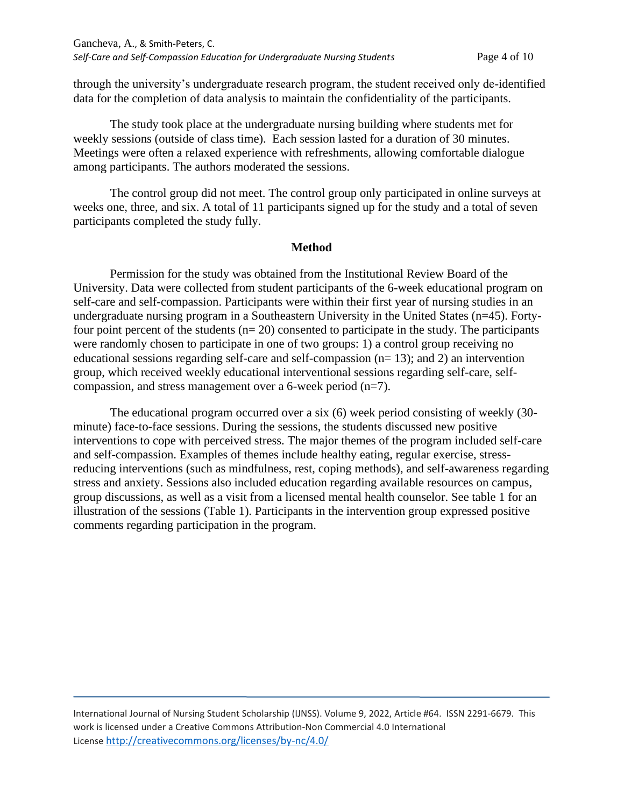through the university's undergraduate research program, the student received only de-identified data for the completion of data analysis to maintain the confidentiality of the participants.

The study took place at the undergraduate nursing building where students met for weekly sessions (outside of class time). Each session lasted for a duration of 30 minutes. Meetings were often a relaxed experience with refreshments, allowing comfortable dialogue among participants. The authors moderated the sessions.

The control group did not meet. The control group only participated in online surveys at weeks one, three, and six. A total of 11 participants signed up for the study and a total of seven participants completed the study fully.

### **Method**

Permission for the study was obtained from the Institutional Review Board of the University. Data were collected from student participants of the 6-week educational program on self-care and self-compassion. Participants were within their first year of nursing studies in an undergraduate nursing program in a Southeastern University in the United States (n=45). Fortyfour point percent of the students  $(n=20)$  consented to participate in the study. The participants were randomly chosen to participate in one of two groups: 1) a control group receiving no educational sessions regarding self-care and self-compassion (n= 13); and 2) an intervention group, which received weekly educational interventional sessions regarding self-care, selfcompassion, and stress management over a 6-week period (n=7).

The educational program occurred over a six (6) week period consisting of weekly (30 minute) face-to-face sessions. During the sessions, the students discussed new positive interventions to cope with perceived stress. The major themes of the program included self-care and self-compassion. Examples of themes include healthy eating, regular exercise, stressreducing interventions (such as mindfulness, rest, coping methods), and self-awareness regarding stress and anxiety. Sessions also included education regarding available resources on campus, group discussions, as well as a visit from a licensed mental health counselor. See table 1 for an illustration of the sessions (Table 1). Participants in the intervention group expressed positive comments regarding participation in the program.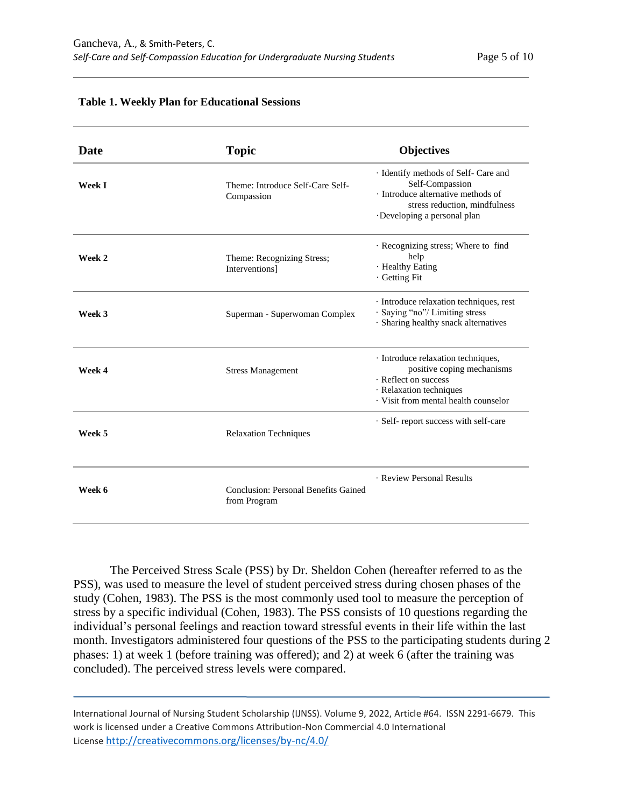| <b>Date</b>   | <b>Topic</b>                                         | <b>Objectives</b>                                                                                                                                            |
|---------------|------------------------------------------------------|--------------------------------------------------------------------------------------------------------------------------------------------------------------|
| <b>Week I</b> | Theme: Introduce Self-Care Self-<br>Compassion       | · Identify methods of Self- Care and<br>Self-Compassion<br>· Introduce alternative methods of<br>stress reduction, mindfulness<br>Developing a personal plan |
| Week 2        | Theme: Recognizing Stress;<br>Interventions]         | · Recognizing stress; Where to find<br>help<br>· Healthy Eating<br>· Getting Fit                                                                             |
| Week 3        | Superman - Superwoman Complex                        | · Introduce relaxation techniques, rest<br>· Saying "no"/ Limiting stress<br>· Sharing healthy snack alternatives                                            |
| Week 4        | <b>Stress Management</b>                             | · Introduce relaxation techniques,<br>positive coping mechanisms<br>· Reflect on success<br>· Relaxation techniques<br>· Visit from mental health counselor  |
| Week 5        | <b>Relaxation Techniques</b>                         | · Self-report success with self-care                                                                                                                         |
| Week 6        | Conclusion: Personal Benefits Gained<br>from Program | · Review Personal Results                                                                                                                                    |

#### **Table 1. Weekly Plan for Educational Sessions**

The Perceived Stress Scale (PSS) by Dr. Sheldon Cohen (hereafter referred to as the PSS), was used to measure the level of student perceived stress during chosen phases of the study (Cohen, 1983). The PSS is the most commonly used tool to measure the perception of stress by a specific individual (Cohen, 1983). The PSS consists of 10 questions regarding the individual's personal feelings and reaction toward stressful events in their life within the last month. Investigators administered four questions of the PSS to the participating students during 2 phases: 1) at week 1 (before training was offered); and 2) at week 6 (after the training was concluded). The perceived stress levels were compared.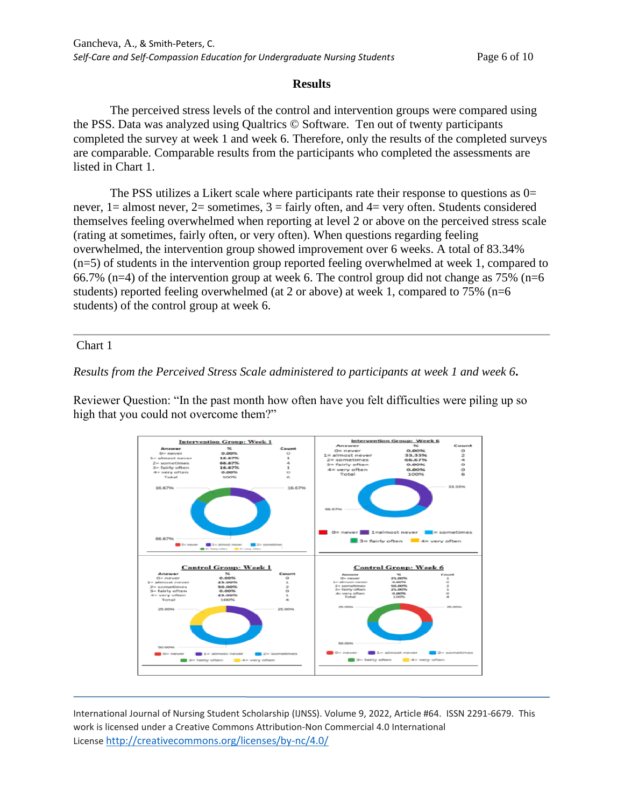## **Results**

The perceived stress levels of the control and intervention groups were compared using the PSS. Data was analyzed using Qualtrics © Software. Ten out of twenty participants completed the survey at week 1 and week 6. Therefore, only the results of the completed surveys are comparable. Comparable results from the participants who completed the assessments are listed in Chart 1.

The PSS utilizes a Likert scale where participants rate their response to questions as 0= never,  $1 =$  almost never,  $2 =$  sometimes,  $3 =$  fairly often, and  $4 =$  very often. Students considered themselves feeling overwhelmed when reporting at level 2 or above on the perceived stress scale (rating at sometimes, fairly often, or very often). When questions regarding feeling overwhelmed, the intervention group showed improvement over 6 weeks. A total of 83.34% (n=5) of students in the intervention group reported feeling overwhelmed at week 1, compared to 66.7% (n=4) of the intervention group at week 6. The control group did not change as  $75\%$  (n=6 students) reported feeling overwhelmed (at 2 or above) at week 1, compared to 75% (n=6 students) of the control group at week 6.

### Chart 1

## *Results from the Perceived Stress Scale administered to participants at week 1 and week 6***.**

Reviewer Question: "In the past month how often have you felt difficulties were piling up so high that you could not overcome them?"

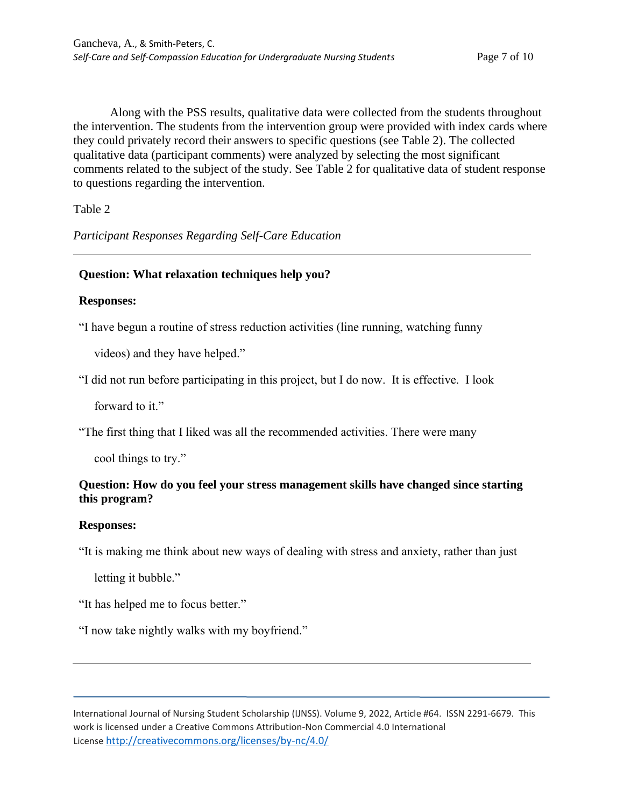Along with the PSS results, qualitative data were collected from the students throughout the intervention. The students from the intervention group were provided with index cards where they could privately record their answers to specific questions (see Table 2). The collected qualitative data (participant comments) were analyzed by selecting the most significant comments related to the subject of the study. See Table 2 for qualitative data of student response to questions regarding the intervention.

Table 2

*Participant Responses Regarding Self-Care Education*

# **Question: What relaxation techniques help you?**

### **Responses:**

"I have begun a routine of stress reduction activities (line running, watching funny

videos) and they have helped."

"I did not run before participating in this project, but I do now. It is effective. I look

forward to it."

"The first thing that I liked was all the recommended activities. There were many

cool things to try."

# **Question: How do you feel your stress management skills have changed since starting this program?**

## **Responses:**

"It is making me think about new ways of dealing with stress and anxiety, rather than just

letting it bubble."

"It has helped me to focus better."

"I now take nightly walks with my boyfriend."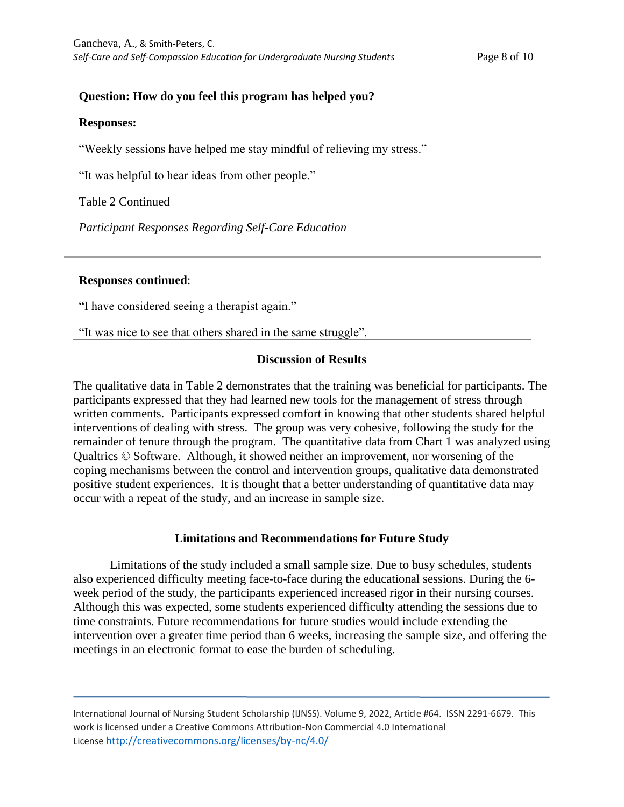# **Question: How do you feel this program has helped you?**

#### **Responses:**

"Weekly sessions have helped me stay mindful of relieving my stress."

"It was helpful to hear ideas from other people."

Table 2 Continued

*Participant Responses Regarding Self-Care Education*

### **Responses continued**:

"I have considered seeing a therapist again."

"It was nice to see that others shared in the same struggle".

## **Discussion of Results**

The qualitative data in Table 2 demonstrates that the training was beneficial for participants. The participants expressed that they had learned new tools for the management of stress through written comments. Participants expressed comfort in knowing that other students shared helpful interventions of dealing with stress. The group was very cohesive, following the study for the remainder of tenure through the program. The quantitative data from Chart 1 was analyzed using Qualtrics © Software. Although, it showed neither an improvement, nor worsening of the coping mechanisms between the control and intervention groups, qualitative data demonstrated positive student experiences. It is thought that a better understanding of quantitative data may occur with a repeat of the study, and an increase in sample size.

## **Limitations and Recommendations for Future Study**

Limitations of the study included a small sample size. Due to busy schedules, students also experienced difficulty meeting face-to-face during the educational sessions. During the 6 week period of the study, the participants experienced increased rigor in their nursing courses. Although this was expected, some students experienced difficulty attending the sessions due to time constraints. Future recommendations for future studies would include extending the intervention over a greater time period than 6 weeks, increasing the sample size, and offering the meetings in an electronic format to ease the burden of scheduling.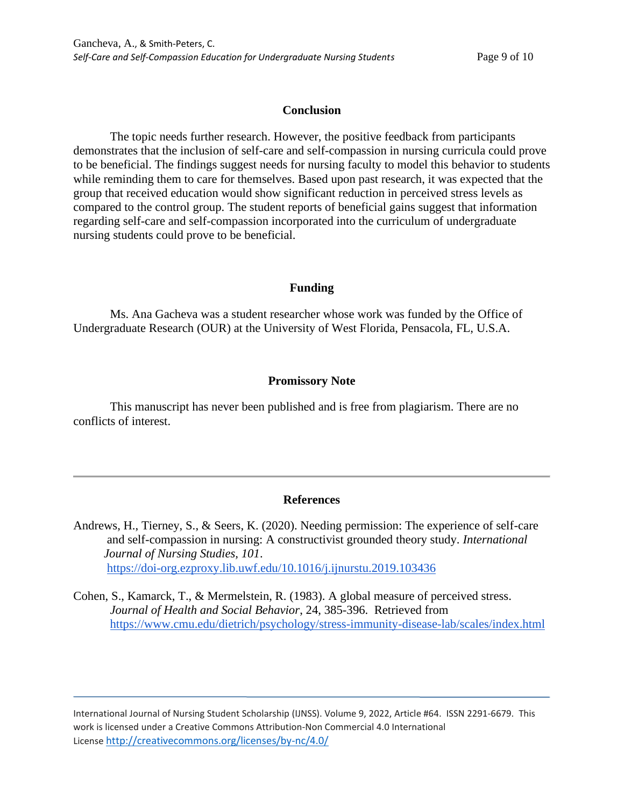### **Conclusion**

The topic needs further research. However, the positive feedback from participants demonstrates that the inclusion of self-care and self-compassion in nursing curricula could prove to be beneficial. The findings suggest needs for nursing faculty to model this behavior to students while reminding them to care for themselves. Based upon past research, it was expected that the group that received education would show significant reduction in perceived stress levels as compared to the control group. The student reports of beneficial gains suggest that information regarding self-care and self-compassion incorporated into the curriculum of undergraduate nursing students could prove to be beneficial.

## **Funding**

Ms. Ana Gacheva was a student researcher whose work was funded by the Office of Undergraduate Research (OUR) at the University of West Florida, Pensacola, FL, U.S.A.

## **Promissory Note**

This manuscript has never been published and is free from plagiarism. There are no conflicts of interest.

## **References**

- Andrews, H., Tierney, S., & Seers, K. (2020). Needing permission: The experience of self-care and self-compassion in nursing: A constructivist grounded theory study. *International Journal of Nursing Studies, 101*. <https://doi-org.ezproxy.lib.uwf.edu/10.1016/j.ijnurstu.2019.103436>
- Cohen, S., Kamarck, T., & Mermelstein, R. (1983). [A global measure of perceived stress.](https://www.cmu.edu/dietrich/psychology/stress-immunity-disease-lab/scales/pdf/globalmeas83.pdf) *Journal of Health and Social Behavior*, 24, 385-396. Retrieved from <https://www.cmu.edu/dietrich/psychology/stress-immunity-disease-lab/scales/index.html>